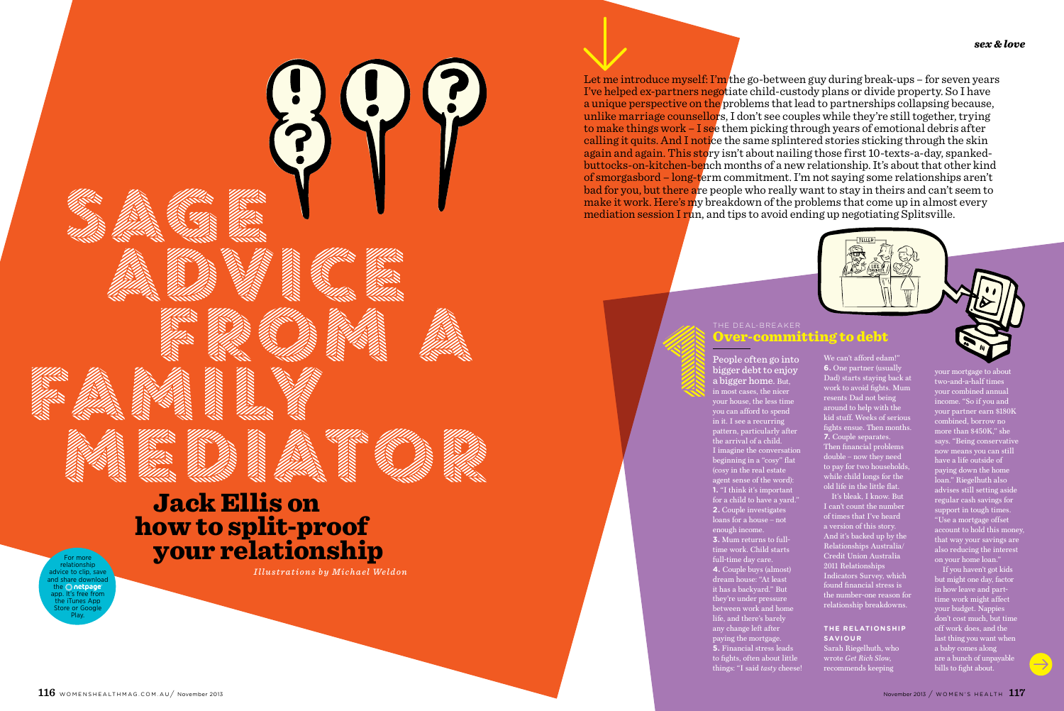# Jack Ellis on how to split-proof your relationship

*Illustrations by Michael Weldon* 

*<i><u><b>PARTISTS</u>* 

People often go into bigger debt to enjoy a bigger home. But, in most cases, the nicer your house, the less time you can afford to spend in it. I see a recurring pattern, particularly after the arrival of a child. I imagine the conversation beginning in a "cosy" flat (cosy in the real estate agent sense of the word): **1.** "I think it's important for a child to have a yard." **2.** Couple investigates loans for a house – not enough income. **3.** Mum returns to full-

 $_{\rm{200}}$  mortgage to about two-and-a-half times your combined annual income. "So if you and your partner earn \$180K combined, borrow no more than  $$450K$ ," she says. "Being conservative now means you can still have a life outside of paying down the home loan." Riegelhuth also advises still setting aside regular cash savings for support in tough times. "Use a mortgage offset ese a mortgage onservathat way your savings are also reducing the interest on your home loan."

If you haven't got kids but might one day, factor in how leave and parttime work might affect your budget. Nappies don't cost much, but time off work does, and the last thing you want when a baby comes along are a bunch of unpayable bills to fight about.



#### Let me introduce myself: I'm the go-between guy during break-ups – for seven years I've helped ex-partners negotiate child-custody plans or divide property. So I have a unique perspective on the problems that lead to partnerships collapsing because, unlike marriage counsellors, I don't see couples while they're still together, trying to make things work – I see them picking through years of emotional debris after calling it quits. And I notice the same splintered stories sticking through the skin again and again. This story isn't about nailing those first 10-texts-a-day, spankedbuttocks-on-kitchen-bench months of a new relationship. It's about that other kind of smorgasbord – long-term commitment. I'm not saying some relationships aren't bad for you, but there are people who really want to stay in theirs and can't seem to make it work. Here's my breakdown of the problems that come up in almost every mediation session I run, and tips to avoid ending up negotiating Splitsville.

#### The deal-breaker committing to debt

time work. Child starts full-time day care. **4.** Couple buys (almost) dream house: "At least it has a backyard." But they're under pressure between work and home life, and there's barely any change left after paying the mortgage. **5.** Financial stress leads to fights, often about little things: "I said *tasty* cheese! We can't afford edam!" **6.** One partner (usually Dad) starts staying back at work to avoid fights. Mum resents Dad not being around to help with the kid stuff. Weeks of serious fights ensue. Then months. **7.** Couple separates. Then financial problems double – now they need to pay for two households while child longs for the old life in the little flat.

It's bleak, I know. But I can't count the number of times that I've heard a version of this story. And it's backed up by the Relationships Australia/ Credit Union Australia 2011 Relationships Indicators Survey, which found financial stress is the number-one reason for relationship breakdowns.

#### **The relationship saviour**

Sarah Riegelhuth, who wrote *Get Rich Slow*, recommends keeping

For more relationship vice to clip, say and share downlo the Onetpage app. It's free from the iTunes App Store or Google Play.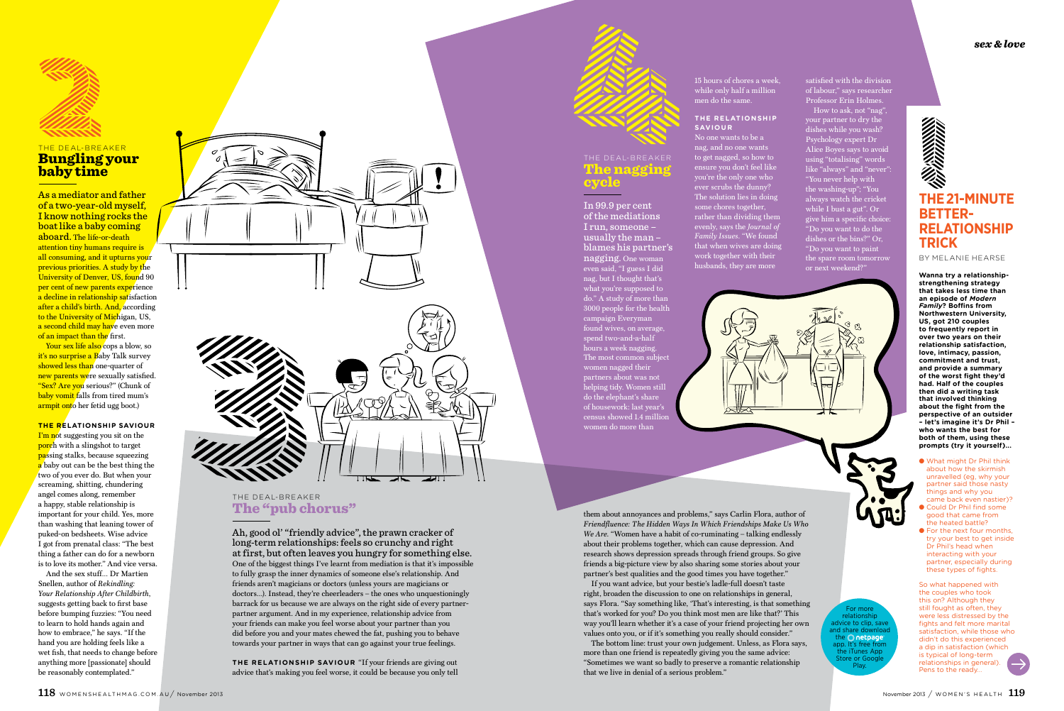As a mediator and father of a two-year-old myself, I know nothing rocks the boat like a baby coming aboard. The life-or-death attention tiny humans require is all consuming, and it upturns your previous priorities. A study by the University of Denver, US, found 90 per cent of new parents experience a decline in relationship satisfaction after a child's birth. And, according to the University of Michigan, US, a second child may have even more of an impact than the first.



## The deal-breaker Bungling your baby time

Your sex life also cops a blow, so it's no surprise a Baby Talk survey showed less than one-quarter of new parents were sexually satisfied. "Sex? Are you serious?" (Chunk of baby vomit falls from tired mum's armpit onto her fetid ugg boot.)

**The relationship saviour I'm not suggesting you sit on the** porch with a slingshot to target passing stalks, because squeezing  $\alpha$  baby out can be the best thing the two of you ever do. But when your screaming, shitting, chundering angel comes along, remember a happy, stable relationship is important for your child. Yes, more than washing that leaning tower of puked-on bedsheets. Wise advice I got from prenatal class: "The best thing a father can do for a newborn is to love its mother." And vice versa.

And the sex stuff… Dr Martien Snellen, author of *Rekindling: Your Relationship After Childbirth*, suggests getting back to first base before bumping fuzzies: "You need to learn to hold hands again and how to embrace," he says. "If the hand you are holding feels like a wet fish, that needs to change before anything more [passionate] should be reasonably contemplated."



# **The 21-minute betterrelationship trick**

By Melanie Hearse

**Wanna try a relationshipstrengthening strategy that takes less time than an episode of** *Modern Family***? Boffins from Northwestern University, US, got 210 couples to frequently report in over two years on their relationship satisfaction, love, intimacy, passion, commitment and trust, and provide a summary of the worst fight they'd had. Half of the couples then did a writing task that involved thinking about the fight from the perspective of an outsider – let's imagine it's Dr Phil – who wants the best for both of them, using these prompts (try it yourself)...** 

- What might Dr Phil think about how the skirmish unravelled (eg, why your partner said those nasty things and why you came back even nastier)?
- Could Dr Phil find some good that came from the heated battle?
- For the next four months, try your best to get inside Dr Phil's head when interacting with your partner, especially during these types of fights.

So what happened with the couples who took this on? Although they still fought as often, they were less distressed by the fights and felt more marital satisfaction, while those who didn't do this experienced a dip in satisfaction (which is typical of long-term relationships in general). Pens to the ready…

### The deal-breaker The naggir cycle

In 99.9 per cent of the mediations I run, someone – usually the man – blames his partner's nagging. One woman even said, "I guess I did nag, but I thought that's what you're supposed to do." A study of more than 3000 people for the health campaign Everyman found wives, on average, spend two-and-a-half hours a week nagging. The most common subject women nagged their partners about was not helping tidy. Women still do the elephant's share of housework: last year's census showed 1.4 million women do more than

15 hours of chores a week, while only half a million men do the same.

#### **The relationship saviour**

No one wants to be a nag, and no one wants to get nagged, so how to ensure you don't feel like you're the only one who ever scrubs the dunny? The solution lies in doing some chores together, rather than dividing them evenly, says the *Journal of Family Issues*. "We found that when wives are doing work together with their husbands, they are more



satisfied with the division of labour," says researcher Professor Erin Holmes. How to ask, not "nag", your partner to dry the dishes while you wash? Psychology expert Dr Alice Boyes says to avoid using "totalising" words like "always" and "never": "You never help with the washing-up"; "You always watch the cricket while I bust a gut". Or give him a specific choice: "Do you want to do the dishes or the bins?" Or, "Do you want to paint the spare room tomorrow or next weekend?"

## The deal-breaker The "pub chorus"

Ah, good ol' "friendly advice", the prawn cracker of long-term relationships: feels so crunchy and right at first, but often leaves you hungry for something else. One of the biggest things I've learnt from mediation is that it's impossible to fully grasp the inner dynamics of someone else's relationship. And friends aren't magicians or doctors (unless yours are magicians or doctors…). Instead, they're cheerleaders – the ones who unquestioningly barrack for us because we are always on the right side of every partnerpartner argument. And in my experience, relationship advice from your friends can make you feel worse about your partner than you did before you and your mates chewed the fat, pushing you to behave towards your partner in ways that can go against your true feelings.

**The relationship saviour** "If your friends are giving out advice that's making you feel worse, it could be because you only tell

them about annoyances and problems," says Carlin Flora, author of *Friendfluence: The Hidden Ways In Which Friendships Make Us Who We Are*. "Women have a habit of co-ruminating – talking endlessly about their problems together, which can cause depression. And research shows depression spreads through friend groups. So give friends a big-picture view by also sharing some stories about your partner's best qualities and the good times you have together."

If you want advice, but your bestie's ladle-full doesn't taste right, broaden the discussion to one on relationships in general, says Flora. "Say something like, 'That's interesting, is that something that's worked for you? Do you think most men are like that?' This way you'll learn whether it's a case of your friend projecting her own values onto you, or if it's something you really should consider."

The bottom line: trust your own judgement. Unless, as Flora says, more than one friend is repeatedly giving you the same advice: "Sometimes we want so badly to preserve a romantic relationship that we live in denial of a serious problem."

For more relationshir advice to clip, sav and share dowr the **O** netpage app. It's free from the iTunes App Store or Google Play.